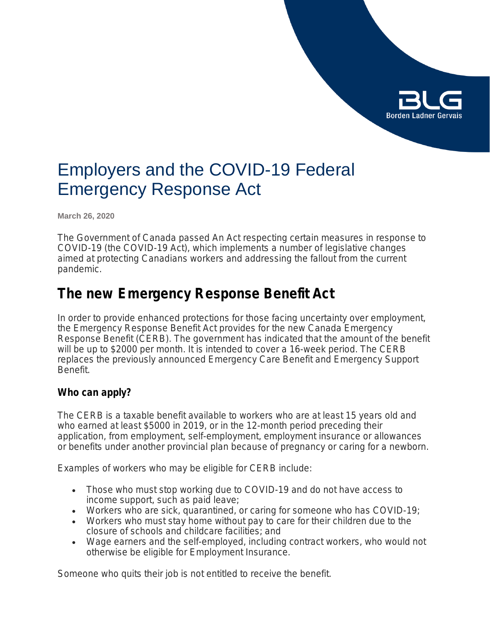

# Employers and the COVID-19 Federal Emergency Response Act

**March 26, 2020**

The Government of Canada passed *An Act respecting certain measures in response to COVID-19* (the COVID-19 Act)*,* which implements a number of legislative changes aimed at protecting Canadians workers and addressing the fallout from the current pandemic.

# **The new** *Emergency Response Benefit Act*

In order to provide enhanced protections for those facing uncertainty over employment, the *Emergency Response Benefit Act* provides for the new Canada Emergency Response Benefit (CERB). The government has indicated that the amount of the benefit will be up to \$2000 per month. It is intended to cover a 16-week period. The CERB replaces the previously announced Emergency Care Benefit and Emergency Support Benefit.

# **Who can apply?**

The CERB is a taxable benefit available to workers who are at least 15 years old and who earned at least \$5000 in 2019, or in the 12-month period preceding their application, from employment, self-employment, employment insurance or allowances or benefits under another provincial plan because of pregnancy or caring for a newborn.

Examples of workers who may be eligible for CERB include:

- Those who must stop working due to COVID-19 and do not have access to income support, such as paid leave;
- Workers who are sick, quarantined, or caring for someone who has COVID-19;
- Workers who must stay home without pay to care for their children due to the closure of schools and childcare facilities; and
- Wage earners and the self-employed, including contract workers, who would not otherwise be eligible for Employment Insurance.

Someone who quits their job is not entitled to receive the benefit.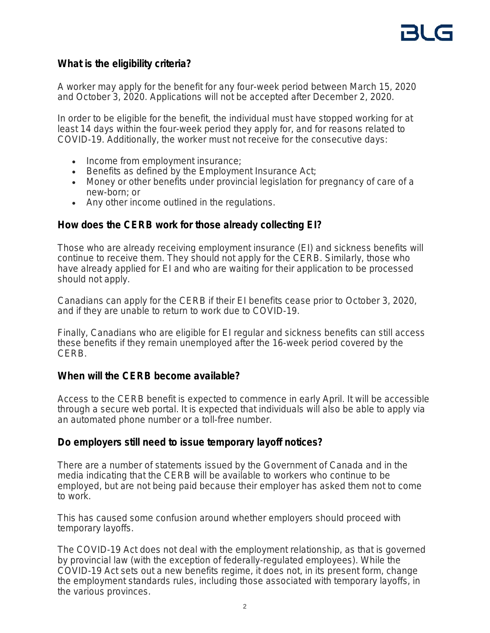# **What is the eligibility criteria?**

A worker may apply for the benefit for any four-week period between March 15, 2020 and October 3, 2020. Applications will not be accepted after December 2, 2020.

In order to be eligible for the benefit, the individual must have stopped working for at least 14 days within the four-week period they apply for, and for reasons related to COVID-19. Additionally, the worker must not receive for the consecutive days:

- Income from employment insurance;
- Benefits as defined by the *Employment Insurance Act*;
- Money or other benefits under provincial legislation for pregnancy of care of a new-born; or
- Any other income outlined in the regulations.

## **How does the CERB work for those already collecting EI?**

Those who are already receiving employment insurance (EI) and sickness benefits will continue to receive them. They should not apply for the CERB. Similarly, those who have already applied for EI and who are waiting for their application to be processed should not apply.

Canadians can apply for the CERB if their EI benefits cease prior to October 3, 2020, and if they are unable to return to work due to COVID-19.

Finally, Canadians who are eligible for EI regular and sickness benefits can still access these benefits if they remain unemployed after the 16-week period covered by the CERB.

## **When will the CERB become available?**

Access to the CERB benefit is expected to commence in early April. It will be accessible through a secure web portal. It is expected that individuals will also be able to apply via an automated phone number or a toll-free number.

## **Do employers still need to issue temporary layoff notices?**

There are a number of statements issued by the Government of Canada and in the media indicating that the CERB will be available to workers who continue to be employed, but are not being paid because their employer has asked them not to come to work.

This has caused some confusion around whether employers should proceed with temporary layoffs.

The COVID-19 Act does not deal with the employment relationship, as that is governed by provincial law (with the exception of federally-regulated employees). While the COVID-19 Act sets out a new benefits regime, it does not, in its present form, change the employment standards rules, including those associated with temporary layoffs, in the various provinces.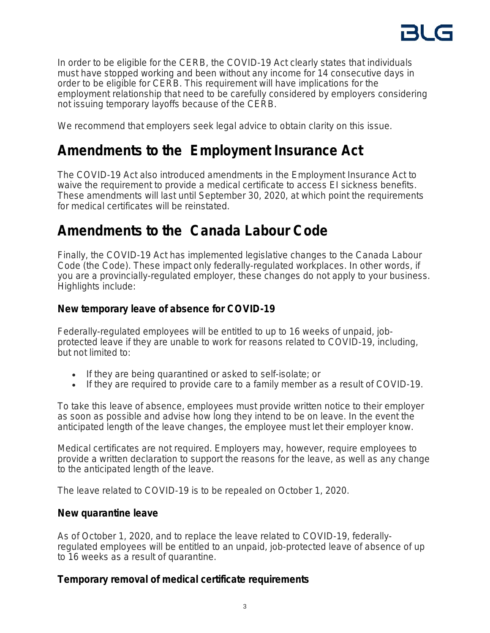

In order to be eligible for the CERB, the COVID-19 Act clearly states that individuals must have stopped working and been without any income for 14 consecutive days in order to be eligible for CERB. This requirement will have implications for the employment relationship that need to be carefully considered by employers considering not issuing temporary layoffs because of the CERB.

We recommend that employers seek legal advice to obtain clarity on this issue.

# **Amendments to the** *Employment Insurance Act*

The COVID-19 Act also introduced amendments in the *Employment Insurance Act* to waive the requirement to provide a medical certificate to access EI sickness benefits. These amendments will last until September 30, 2020, at which point the requirements for medical certificates will be reinstated.

# **Amendments to the** *Canada Labour Code*

Finally, the COVID-19 Act has implemented legislative changes to the *Canada Labour Code* (the Code). These impact only federally-regulated workplaces. In other words, if you are a provincially-regulated employer, these changes do not apply to your business. Highlights include:

# **New temporary leave of absence for COVID-19**

Federally-regulated employees will be entitled to up to 16 weeks of unpaid, jobprotected leave if they are unable to work for reasons related to COVID-19, including, but not limited to:

- If they are being quarantined or asked to self-isolate; or
- If they are required to provide care to a family member as a result of COVID-19.

To take this leave of absence, employees must provide written notice to their employer as soon as possible and advise how long they intend to be on leave. In the event the anticipated length of the leave changes, the employee must let their employer know.

Medical certificates are not required. Employers may, however, require employees to provide a written declaration to support the reasons for the leave, as well as any change to the anticipated length of the leave.

The leave related to COVID-19 is to be repealed on October 1, 2020.

# **New quarantine leave**

As of October 1, 2020, and to replace the leave related to COVID-19, federallyregulated employees will be entitled to an unpaid, job-protected leave of absence of up to 16 weeks as a result of quarantine.

# **Temporary removal of medical certificate requirements**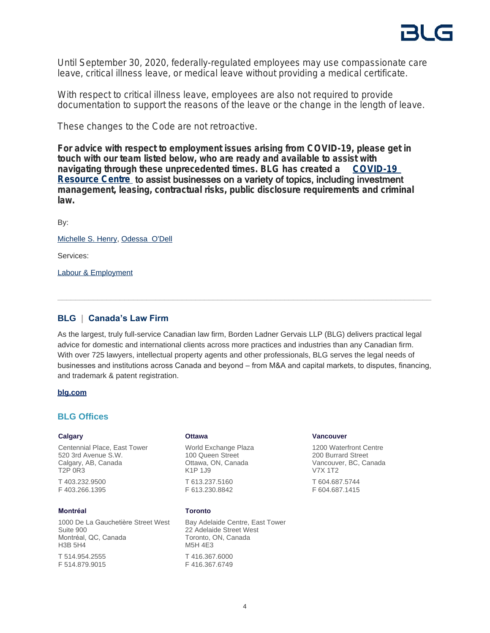

Until September 30, 2020, federally-regulated employees may use compassionate care leave, critical illness leave, or medical leave without providing a medical certificate.

With respect to critical illness leave, employees are also not required to provide documentation to support the reasons of the leave or the change in the length of leave.

These changes to the Code are not retroactive.

**For advice with respect to employment issues arising from COVID-19, please get in touch with our team listed below, who are ready and available to assist with navigating through these unprecedented times. BLG has created a [COVID-19](https://www.blg.com/en/insights/covid-19)  [Resource Centre](https://www.blg.com/en/insights/covid-19)** to assist businesses on a variety of topics, including investment **management, leasing, contractual risks, public disclosure requirements and criminal law.**

By:

[Michelle S. Henry](https://www.blg.com/en/people/h/henry-michelle), [Odessa O'Dell](https://www.blg.com/en/people/o/odell-odessa)

Services:

[Labour & Employment](https://www.blg.com/en/services/practice-areas/labour-,-a-,-employment)

#### **BLG | Canada's Law Firm**

As the largest, truly full-service Canadian law firm, Borden Ladner Gervais LLP (BLG) delivers practical legal advice for domestic and international clients across more practices and industries than any Canadian firm. With over 725 lawyers, intellectual property agents and other professionals, BLG serves the legal needs of businesses and institutions across Canada and beyond – from M&A and capital markets, to disputes, financing, and trademark & patent registration.

#### **[blg.com](http://www.blg.com)**

#### **BLG Offices**

#### **Calgary**

Centennial Place, East Tower 520 3rd Avenue S.W. Calgary, AB, Canada T2P 0R3

T 403.232.9500 F 403.266.1395

#### **Montréal**

1000 De La Gauchetière Street West Suite 900 Montréal, QC, Canada H3B 5H4 T 514.954.2555 F 514.879.9015

#### **Ottawa**

World Exchange Plaza 100 Queen Street Ottawa, ON, Canada K1P 1J9 T 613.237.5160 F 613.230.8842

#### **Toronto**

Bay Adelaide Centre, East Tower 22 Adelaide Street West Toronto, ON, Canada M5H 4E3 T 416.367.6000 F 416.367.6749

#### **Vancouver**

1200 Waterfront Centre 200 Burrard Street Vancouver, BC, Canada V7X 1T2

T 604.687.5744 F 604.687.1415